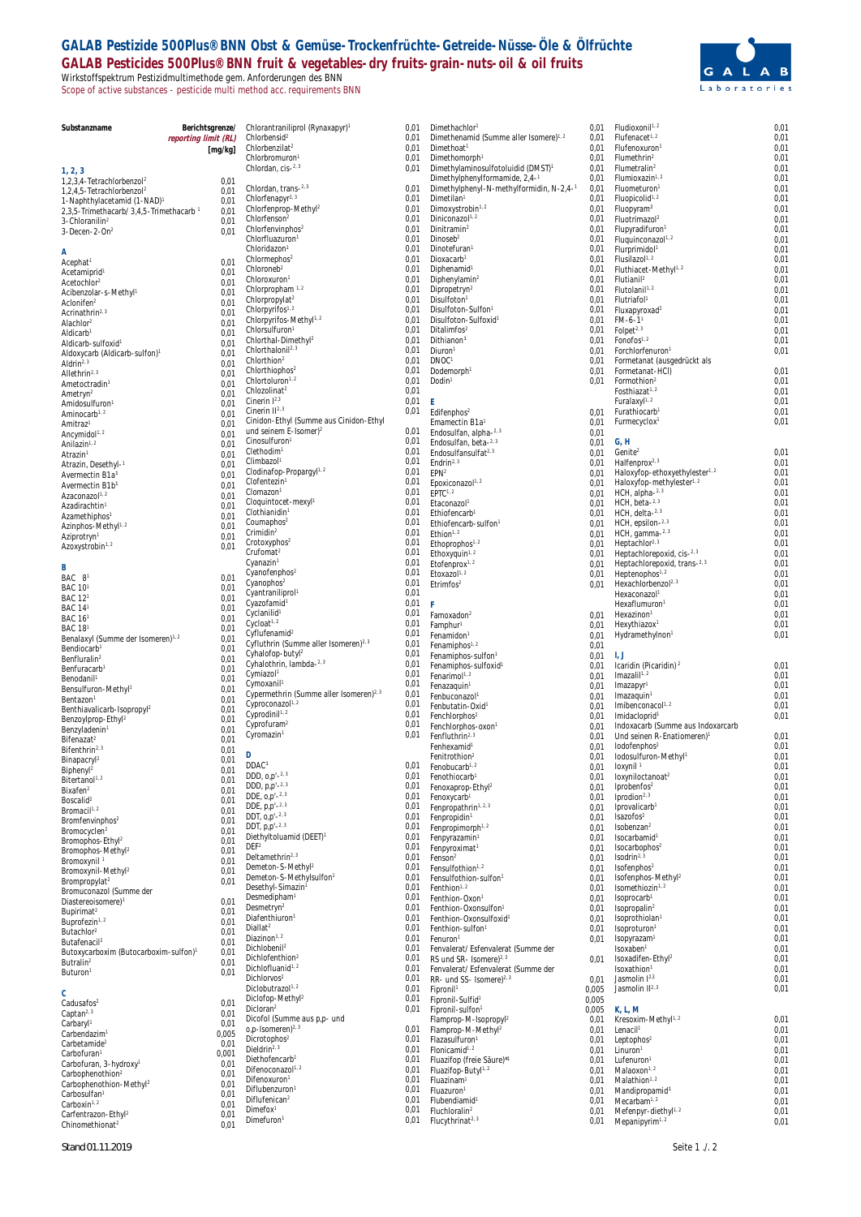## **GALAB Pestizide 500Plus® BNN Obst & Gemüse-Trockenfrüchte-Getreide-Nüsse-Öle & Ölfrüchte GALAB Pesticides 500Plus® BNN fruit & vegetables-dry fruits-grain-nuts-oil & oil fruits** Wirkstoffspektrum Pestizidmultimethode gem. Anforderungen des BNN Scope of active substances - pesticide multi method acc. requirements BNN



 $0,01$ <br> $0,01$ 

| Substanzname                                                                     |                      | Berichtsgrenze/ | Chlorantraniliprol (Rynaxapyr) <sup>1</sup>                                       | 0,01         | Dimethachlor <sup>1</sup>                                                  | 0,01           | Fludioxonil <sup>1, 2</sup>                                                 | 0,01         |
|----------------------------------------------------------------------------------|----------------------|-----------------|-----------------------------------------------------------------------------------|--------------|----------------------------------------------------------------------------|----------------|-----------------------------------------------------------------------------|--------------|
|                                                                                  | reporting limit (RL) |                 | Chlorbensid <sup>2</sup>                                                          | 0,01         | Dimethenamid (Summe aller Isomere) <sup>1, 2</sup>                         | 0,01           | Flufenacet <sup>1, 2</sup>                                                  | 0,01         |
|                                                                                  |                      | [mg/kg]         | Chlorbenzilat <sup>2</sup><br>Chlorbromuron <sup>1</sup>                          | 0,01<br>0,01 | Dimethoat <sup>1</sup><br>Dimethomorph <sup>1</sup>                        | 0,01<br>0,01   | Flufenoxuron <sup>1</sup><br>Flumethrin <sup>2</sup>                        | 0,01<br>0,01 |
| 1, 2, 3                                                                          |                      |                 | Chlordan, cis-2, 3                                                                | 0,01         | Dimethylaminosulfotoluidid (DMST) <sup>1</sup>                             | 0,01           | Flumetralin <sup>2</sup>                                                    | 0,01         |
| 1,2,3,4-Tetrachlorbenzol <sup>2</sup>                                            |                      | 0,01            |                                                                                   |              | Dimethylphenylformamide, 2,4-1                                             | 0,01           | Flumioxazin <sup>1, 2</sup>                                                 | 0,01         |
| 1,2,4,5-Tetrachlorbenzol <sup>2</sup><br>1-Naphthylacetamid (1-NAD) <sup>1</sup> |                      | 0.01<br>0,01    | Chlordan, trans-2.3<br>Chlorfenapyr <sup>2, 3</sup>                               | 0,01<br>0,01 | Dimethylphenyl-N-methylformidin, N-2,4-1<br>Dimetilan <sup>1</sup>         | 0,01<br>0,01   | Fluometuron <sup>1</sup><br>Fluopicolid <sup>1, 2</sup>                     | 0,01<br>0,01 |
| 2,3,5-Trimethacarb/ 3,4,5-Trimethacarb 1                                         |                      | 0,01            | Chlorfenprop-Methyl <sup>2</sup>                                                  | 0,01         | Dimoxystrobin <sup>1,2</sup>                                               | 0,01           | Fluopyram <sup>2</sup>                                                      | 0,01         |
| 3-Chloranilin <sup>2</sup>                                                       |                      | 0.01            | Chlorfenson <sup>2</sup><br>Chlorfenvinphos <sup>2</sup>                          | 0,01<br>0,01 | Diniconazol <sup>1, 2</sup><br>Dinitramin <sup>2</sup>                     | 0,01<br>0,01   | Fluotrimazol <sup>2</sup><br>Flupyradifuron <sup>1</sup>                    | 0,01<br>0,01 |
| 3-Decen-2-On <sup>2</sup>                                                        |                      | 0,01            | Chlorfluazuron <sup>1</sup>                                                       | 0,01         | Dinoseb <sup>2</sup>                                                       | 0,01           | Fluquinconazol <sup>1, 2</sup>                                              | 0,01         |
| Α                                                                                |                      |                 | Chloridazon <sup>1</sup>                                                          | 0,01         | Dinotefuran <sup>1</sup>                                                   | 0,01           | Flurprimidol <sup>1</sup>                                                   | 0,01         |
| Acephat <sup>1</sup><br>Acetamiprid <sup>1</sup>                                 |                      | 0.01<br>0,01    | Chlormephos <sup>2</sup><br>Chloroneb <sup>2</sup>                                | 0,01<br>0,01 | Dioxacarb <sup>1</sup><br>Diphenamid <sup>1</sup>                          | 0,01<br>0,01   | Flusilazol <sup>1, 2</sup><br>Fluthiacet-Methyl <sup>1, 2</sup>             | 0,01<br>0,01 |
| Acetochlor <sup>2</sup>                                                          |                      | 0,01            | Chloroxuron <sup>1</sup>                                                          | 0,01         | Diphenylamin <sup>2</sup>                                                  | 0,01           | Flutianil <sup>2</sup>                                                      | 0,01         |
| Acibenzolar-s-Methyl <sup>1</sup>                                                |                      | 0,01            | Chlorpropham <sup>1,2</sup><br>Chlorpropylat <sup>2</sup>                         | 0,01<br>0,01 | Dipropetryn <sup>2</sup><br>Disulfoton <sup>1</sup>                        | 0,01<br>0,01   | Flutolanil <sup>1, 2</sup><br>Flutriafol <sup>1</sup>                       | 0,01<br>0,01 |
| Aclonifen <sup>2</sup><br>Acrinathrin <sup>2, 3</sup>                            |                      | 0,01<br>0,01    | Chlorpyrifos <sup>1, 2</sup>                                                      | 0,01         | Disulfoton-Sulfon1                                                         | 0,01           | Fluxapyroxad <sup>2</sup>                                                   | 0.01         |
| Alachlor <sup>2</sup>                                                            |                      | 0,01            | Chlorpyrifos-Methyl1.2                                                            | 0,01         | Disulfoton-Sulfoxid <sup>1</sup>                                           | 0,01           | $FM-6-11$                                                                   | 0,01         |
| Aldicarb <sup>1</sup>                                                            |                      | 0,01            | Chlorsulfuron <sup>1</sup><br>Chlorthal-Dimethyl <sup>2</sup>                     | 0,01<br>0,01 | Ditalimfos <sup>2</sup><br>Dithianon <sup>1</sup>                          | 0,01<br>0,01   | Folpet <sup>2, 3</sup><br>$F$ onofos <sup>1, 2</sup>                        | 0,01<br>0.01 |
| Aldicarb-sulfoxid<br>Aldoxycarb (Aldicarb-sulfon) <sup>1</sup>                   |                      | 0,01<br>0,01    | Chlorthalonil <sup>2, 3</sup>                                                     | 0,01         | Diuron <sup>1</sup>                                                        | 0,01           | Forchlorfenuron <sup>1</sup>                                                | 0,01         |
| Aldrin <sup>2, 3</sup>                                                           |                      | 0,01            | Chlorthion <sup>2</sup>                                                           | 0,01         | DNOC <sup>1</sup>                                                          | 0,01           | Formetanat (ausgedrückt als                                                 |              |
| Allethrin <sup>2, 3</sup>                                                        |                      | 0,01<br>0,01    | Chlorthiophos <sup>2</sup><br>Chlortoluron <sup>1, 2</sup>                        | 0,01<br>0,01 | Dodemorph <sup>1</sup><br>Dodin <sup>1</sup>                               | 0,01<br>0,01   | Formetanat-HCI)<br>Formothion <sup>2</sup>                                  | 0.01<br>0,01 |
| Ametoctradin <sup>1</sup><br>Ametryn <sup>2</sup>                                |                      | 0,01            | Chlozolinat <sup>2</sup>                                                          | 0,01         |                                                                            |                | Fosthiazat <sup>1, 2</sup>                                                  | 0,01         |
| Amidosulfuron <sup>1</sup>                                                       |                      | 0,01            | Cinerin $1^{2,3}$<br>Cinerin II <sup>2, 3</sup>                                   | 0,01<br>0,01 | Ε                                                                          |                | Furalaxyl <sup>1, 2</sup><br>Furathiocarb <sup>1</sup>                      | 0.01<br>0,01 |
| Aminocarb <sup>1, 2</sup><br>Amitraz <sup>1</sup>                                |                      | 0,01<br>0,01    | Cinidon-Ethyl (Summe aus Cinidon-Ethyl                                            |              | Edifenphos <sup>2</sup><br>Emamectin B1a <sup>1</sup>                      | 0,01<br>0,01   | Furmecyclox <sup>1</sup>                                                    | 0,01         |
| Ancymidol <sup>1, 2</sup>                                                        |                      | 0,01            | und seinem E-Isomer) <sup>2</sup>                                                 | 0,01         | Endosulfan, alpha-2, 3                                                     | 0,01           |                                                                             |              |
| Anilazin <sup>1, 2</sup>                                                         |                      | 0,01            | Cinosulfuron <sup>1</sup><br>Clethodim <sup>1</sup>                               | 0,01<br>0,01 | Endosulfan, beta-2, 3                                                      | 0,01           | G, H                                                                        |              |
| Atrazin <sup>1</sup><br>Atrazin, Desethyl-1                                      |                      | 0,01<br>0,01    | Climbazol <sup>1</sup>                                                            | 0,01         | Endosulfansulfat <sup>2, 3</sup><br>Endrin <sup>2, 3</sup>                 | 0,01<br>0,01   | Genite <sup>2</sup><br>Halfenprox <sup>2, 3</sup>                           | 0,01<br>0,01 |
| Avermectin B1a <sup>1</sup>                                                      |                      | 0,01            | Clodinafop-Propargyl <sup>1, 2</sup>                                              | 0,01         | EPN <sup>2</sup>                                                           | 0,01           | Haloxyfop-ethoxyethylester <sup>1, 2</sup>                                  | 0,01         |
| Avermectin B1b <sup>1</sup>                                                      |                      | 0,01            | Clofentezin <sup>1</sup><br>Clomazon <sup>1</sup>                                 | 0,01<br>0,01 | Epoxiconazol <sup>1, 2</sup>                                               | 0,01           | Haloxyfop-methylester <sup>1, 2</sup>                                       | 0,01<br>0,01 |
| Azaconazol1.2<br>Azadirachtin <sup>1</sup>                                       |                      | 0,01<br>0,01    | Cloquintocet-mexyl1                                                               | 0,01         | EPTC <sup>1, 2</sup><br>Etaconazol <sup>1</sup>                            | 0,01<br>0,01   | HCH, alpha-2, 3<br>$HCH$ , beta $-2.3$                                      | 0,01         |
| Azamethiphos <sup>1</sup>                                                        |                      | 0,01            | Clothianidin <sup>1</sup>                                                         | 0,01         | Ethiofencarb <sup>1</sup>                                                  | 0,01           | HCH, delta- $2,3$                                                           | 0,01         |
| Azinphos-Methyl <sup>1, 2</sup>                                                  |                      | 0,01            | Coumaphos <sup>2</sup><br>Crimidin <sup>2</sup>                                   | 0,01<br>0,01 | Ethiofencarb-sulfon <sup>1</sup><br>Ethion <sup>1, 2</sup>                 | 0,01           | HCH, epsilon-2.3<br>HCH, gamma-2, 3                                         | 0,01<br>0,01 |
| Aziprotryn <sup>1</sup>                                                          |                      | 0,01<br>0,01    | Crotoxyphos <sup>2</sup>                                                          | 0,01         | Ethoprophos <sup>1, 2</sup>                                                | 0,01<br>0,01   | Heptachlor <sup>2, 3</sup>                                                  | 0,01         |
| Azoxystrobin <sup>1, 2</sup>                                                     |                      |                 | Crufomat <sup>2</sup>                                                             | 0,01         | Ethoxyquin <sup>1, 2</sup>                                                 | 0,01           | Heptachlorepoxid, cis-2, 3                                                  | 0,01         |
| B                                                                                |                      |                 | Cyanazin <sup>1</sup><br>Cyanofenphos <sup>2</sup>                                | 0,01<br>0,01 | Etofenprox <sup>1, 2</sup><br>Etoxazol <sup>1, 2</sup>                     | 0,01<br>0,01   | Heptachlorepoxid, trans-2.3<br>Heptenophos <sup>1, 2</sup>                  | 0,01<br>0,01 |
| BAC 8 <sup>1</sup><br>BAC 10 <sup>1</sup>                                        |                      | 0,01<br>0,01    | Cyanophos <sup>2</sup>                                                            | 0,01         | Etrimfos <sup>2</sup>                                                      | 0,01           | Hexachlorbenzol <sup>2, 3</sup>                                             | 0,01         |
| BAC 12 <sup>1</sup>                                                              |                      | 0,01            | Cyantraniliprol <sup>1</sup>                                                      | 0,01         |                                                                            |                | Hexaconazol <sup>1</sup>                                                    | 0,01         |
| BAC 14 <sup>1</sup>                                                              |                      | 0,01            | Cyazofamid <sup>1</sup><br>Cyclanilid <sup>1</sup>                                | 0,01<br>0,01 | F<br>Famoxadon <sup>2</sup>                                                | 0,01           | Hexaflumuron <sup>1</sup><br>Hexazinon                                      | 0,01<br>0,01 |
| BAC 16 <sup>1</sup><br>BAC 181                                                   |                      | 0,01<br>0,01    | Cycloat <sup>1, 2</sup>                                                           | 0,01         | Famphur <sup>1</sup>                                                       | 0,01           | Hexythiazox                                                                 | 0,01         |
| Benalaxyl (Summe der Isomeren) <sup>1, 2</sup>                                   |                      | 0,01            | Cyflufenamid <sup>2</sup>                                                         | 0,01         | Fenamidon <sup>1</sup>                                                     | 0,01           | Hydramethylnon <sup>1</sup>                                                 | 0,01         |
| Bendiocarb <sup>1</sup>                                                          |                      | 0,01            | Cyfluthrin (Summe aller Isomeren) <sup>2, 3</sup><br>Cyhalofop-butyl <sup>2</sup> | 0,01<br>0,01 | Fenamiphos <sup>1, 2</sup><br>Fenamiphos-sulfon <sup>1</sup>               | 0,01<br>0,01   | -l, J                                                                       |              |
| Benfluralin <sup>2</sup><br>Benfuracarb <sup>1</sup>                             |                      | 0,01<br>0,01    | Cyhalothrin, lambda-2, 3                                                          | 0,01         | Fenamiphos-sulfoxid <sup>1</sup>                                           | 0,01           | Icaridin (Picaridin) <sup>2</sup>                                           | 0,01         |
| Benodanil <sup>1</sup>                                                           |                      | 0,01            | Cymiazol <sup>1</sup>                                                             | 0,01         | Fenarimol <sup>1, 2</sup>                                                  | 0,01           | Imazalil <sup>1,2</sup>                                                     | 0,01         |
| Bensulfuron-Methyl <sup>1</sup>                                                  |                      | 0,01            | Cymoxanil <sup>1</sup><br>Cypermethrin (Summe aller Isomeren) <sup>2, 3</sup>     | 0,01<br>0,01 | Fenazaquin <sup>1</sup><br>Fenbuconazol <sup>1</sup>                       | 0,01<br>0,01   | Imazapyr <sup>1</sup><br>Imazaquin <sup>1</sup>                             | 0,01<br>0,01 |
| Bentazon <sup>1</sup><br>Benthiavalicarb-Isopropyl <sup>2</sup>                  |                      | 0,01<br>0,01    | Cyproconazol <sup>1, 2</sup>                                                      | 0,01         | Fenbutatin-Oxid <sup>1</sup>                                               | 0,01           | Imibenconacol <sup>1, 2</sup>                                               | 0,01         |
| Benzoylprop-Ethyl <sup>2</sup>                                                   |                      | 0,01            | Cyprodinil <sup>1, 2</sup>                                                        | 0,01         | Fenchlorphos <sup>2</sup>                                                  | 0,01           | Imidacloprid <sup>1</sup>                                                   | 0,01         |
| Benzyladenin <sup>1</sup>                                                        |                      | 0,01            | Cyprofuram <sup>2</sup><br>Cyromazin <sup>1</sup>                                 | 0,01<br>0,01 | Fenchlorphos-oxon1<br>Fenfluthrin <sup>2, 3</sup>                          | 0,01<br>0,01   | Indoxacarb (Summe aus Indoxarcarb<br>Und seinen R-Enatiomeren) <sup>1</sup> | 0,01         |
| Bifenazat <sup>2</sup><br>Bifenthrin <sup>2, 3</sup>                             |                      | 0,01<br>0,01    |                                                                                   |              | Fenhexamid <sup>1</sup>                                                    |                | $0,01$ lodofenphos <sup>2</sup>                                             | 0.01         |
| <b>Binapacryl</b>                                                                |                      | 0,01            | D<br>DDAC <sup>1</sup>                                                            |              | Fenitrothion <sup>2</sup>                                                  |                | 0,01 lodosulfuron-Methyl1                                                   | 0.01         |
| Biphenyl <sup>2</sup>                                                            |                      | 0,01            | DDD, 0,p'-2.3                                                                     | 0,01<br>0,01 | Fenobucarb <sup>1, 2</sup><br>Fenothiocarb <sup>1</sup>                    | 0,01<br>0,01   | loxynil <sup>1</sup><br>loxyniloctanoat <sup>2</sup>                        | 0,01<br>0,01 |
| Bitertanol <sup>1, 2</sup><br>Bixafen <sup>2</sup>                               |                      | 0,01<br>0,01    | DDD, p,p'-2,3                                                                     | 0,01         | Fenoxaprop-Ethyl <sup>2</sup>                                              | 0,01           | Iprobenfos <sup>2</sup>                                                     | 0,01         |
| Boscalid <sup>2</sup>                                                            |                      | 0,01            | DDE, $0, p' -2, 3$<br>DDE, p,p'-2.3                                               | 0,01         | Fenoxycarb <sup>1</sup>                                                    | 0,01           | Iprodion $2.3$                                                              | 0,01         |
| Bromacil <sup>1, 2</sup>                                                         |                      | 0,01            | DDT, $0, p' - 2, 3$                                                               | 0,01<br>0,01 | Fenpropathrin <sup>1, 2, 3</sup><br>Fenpropidin <sup>1</sup>               | 0,01<br>0,01   | Iprovalicarb <sup>1</sup><br>Isazofos <sup>2</sup>                          | 0,01<br>0,01 |
| Bromfenvinphos <sup>2</sup><br>Bromocyclen <sup>2</sup>                          |                      | 0,01<br>0,01    | DDT, $p, p' - 2, 3$                                                               | 0,01         | Fenpropimorph <sup>1, 2</sup>                                              | 0,01           | Isobenzan <sup>2</sup>                                                      | 0,01         |
| Bromophos-Ethyl <sup>2</sup>                                                     |                      | 0,01            | Diethyltoluamid (DEET) <sup>1</sup><br>DEF <sup>2</sup>                           | 0,01<br>0,01 | Fenpyrazamin <sup>1</sup><br>Fenpyroximat <sup>1</sup>                     | 0,01           | Isocarbamid <sup>1</sup><br>Isocarbophos <sup>2</sup>                       | 0,01<br>0,01 |
| Bromophos-Methyl <sup>2</sup><br>Bromoxynil <sup>1</sup>                         |                      | 0,01<br>0,01    | Deltamethrin <sup>2, 3</sup>                                                      | 0,01         | Fenson <sup>2</sup>                                                        | 0,01<br>0,01   | Isodrin <sup>2, 3</sup>                                                     | 0,01         |
| Bromoxynil-Methyl <sup>2</sup>                                                   |                      | 0,01            | Demeton-S-Methyl <sup>2</sup>                                                     | 0,01         | Fensulfothion <sup>1, 2</sup>                                              | 0,01           | Isofenphos <sup>2</sup>                                                     | 0,01         |
| Brompropylat <sup>2</sup>                                                        |                      | 0,01            | Demeton-S-Methylsulfon <sup>1</sup><br>Desethyl-Simazin1                          | 0,01<br>0,01 | Fensulfothion-sulfon <sup>1</sup><br>Fenthion <sup>1, 2</sup>              | 0,01<br>0,01   | Isofenphos-Methyl <sup>2</sup><br>Isomethiozin <sup>1, 2</sup>              | 0,01<br>0,01 |
| Bromuconazol (Summe der<br>Diastereoisomere) <sup>1</sup>                        |                      | 0,01            | Desmedipham <sup>1</sup>                                                          | 0,01         | Fenthion-Oxon1                                                             | 0,01           | Isoprocarb <sup>1</sup>                                                     | 0,01         |
| Bupirimat <sup>2</sup>                                                           |                      | 0,01            | Desmetryn <sup>2</sup>                                                            | 0,01         | Fenthion-Oxonsulfon <sup>1</sup>                                           | 0,01           | Isopropalin <sup>2</sup>                                                    | 0,01         |
| Buprofezin <sup>1, 2</sup>                                                       |                      | 0,01            | Diafenthiuron <sup>1</sup><br>Diallat <sup>2</sup>                                | 0,01<br>0,01 | Fenthion-Oxonsulfoxid <sup>1</sup><br>Fenthion-sulfon <sup>1</sup>         | 0,01<br>0,01   | Isoprothiolan <sup>1</sup><br>Isoproturon <sup>1</sup>                      | 0,01<br>0,01 |
| Butachlor <sup>2</sup><br>Butafenacil <sup>2</sup>                               |                      | 0,01<br>0,01    | Diazinon <sup>1, 2</sup>                                                          | 0,01         | Fenuron <sup>1</sup>                                                       | 0.01           | Isopyrazam <sup>1</sup>                                                     | 0,01         |
| Butoxycarboxim (Butocarboxim-sulfon) <sup>1</sup>                                |                      | 0,01            | Dichlobenil <sup>2</sup>                                                          | 0,01         | Fenvalerat/ Esfenvalerat (Summe der                                        |                | Isoxaben <sup>1</sup>                                                       | 0,01         |
| Butralin <sup>2</sup>                                                            |                      | 0,01            | Dichlofenthion <sup>2</sup><br>Dichlofluanid <sup>1, 2</sup>                      | 0,01<br>0,01 | RS und SR- Isomere) <sup>2, 3</sup><br>Fenvalerat/ Esfenvalerat (Summe der | 0,01           | Isoxadifen-Ethyl <sup>2</sup><br>Isoxathion <sup>1</sup>                    | 0,01<br>0,01 |
| Buturon <sup>1</sup>                                                             |                      | 0,01            | Dichlorvos <sup>2</sup>                                                           | 0,01         | RR- und SS- Isomere) <sup>2, 3</sup>                                       | 0,01           | Jasmolin <sup>[2,3</sup>                                                    | 0,01         |
| C                                                                                |                      |                 | Diclobutrazol <sup>1, 2</sup>                                                     | 0,01         | Fipronil                                                                   | 0,005          | Jasmolin II <sup>2, 3</sup>                                                 | 0,01         |
| Cadusafos <sup>2</sup>                                                           |                      | 0,01            | Diclofop-Methyl <sup>2</sup><br>Dicloran <sup>2</sup>                             | 0,01<br>0,01 | Fipronil-Sulfid <sup>1</sup><br>Fipronil-sulfon <sup>1</sup>               | 0,005<br>0,005 | K, L, M                                                                     |              |
| Captan <sup>2, 3</sup><br>Carbaryl <sup>1</sup>                                  |                      | 0,01<br>0,01    | Dicofol (Summe aus p,p- und                                                       |              | Flamprop-M-Isopropyl <sup>2</sup>                                          | 0,01           | Kresoxim-Methyl <sup>1, 2</sup>                                             | 0,01         |
| Carbendazim <sup>1</sup>                                                         |                      | 0,005           | o,p-Isomeren) <sup>2, 3</sup>                                                     | 0,01         | Flamprop-M-Methyl <sup>2</sup>                                             | 0,01           | Lenacil <sup>1</sup>                                                        | 0,01         |
| Carbetamide <sup>1</sup>                                                         |                      | 0,01            | Dicrotophos <sup>2</sup><br>Dieldrin <sup>2, 3</sup>                              | 0,01<br>0,01 | Flazasulfuron <sup>1</sup><br>Flonicamid <sup>1, 2</sup>                   | 0,01<br>0,01   | Leptophos <sup>2</sup><br>Linuron <sup>1</sup>                              | 0,01<br>0,01 |
| Carbofuran <sup>1</sup><br>Carbofuran, 3-hydroxy <sup>1</sup>                    |                      | 0,001<br>0,01   | Diethofencarb <sup>1</sup>                                                        | 0,01         | Fluazifop (freie Säure)*1                                                  | 0,01           | Lufenuron <sup>1</sup>                                                      | 0,01         |
| Carbophenothion <sup>2</sup>                                                     |                      | 0,01            | Difenoconazol <sup>1, 2</sup><br>Difenoxuron <sup>1</sup>                         | 0,01<br>0,01 | Fluazifop-Butyl <sup>1, 2</sup>                                            | 0,01           | Malaoxon <sup>1, 2</sup>                                                    | 0,01         |
| Carbophenothion-Methyl <sup>2</sup>                                              |                      | 0,01            | Diflubenzuron <sup>1</sup>                                                        | 0,01         | Fluazinam <sup>1</sup><br>Fluazuron <sup>1</sup>                           | 0,01<br>0,01   | Malathion <sup>1, 2</sup><br>Mandipropamid <sup>1</sup>                     | 0,01<br>0,01 |
| Carbosulfan <sup>1</sup><br>Carboxin <sup>1, 2</sup>                             |                      | 0,01<br>0,01    | Diflufenican <sup>2</sup>                                                         | 0,01         | Flubendiamid <sup>1</sup>                                                  | 0,01           | Mecarbam <sup>1, 2</sup>                                                    | 0,01         |
| Carfentrazon-Ethyl <sup>2</sup>                                                  |                      | 0,01            | Dimefox <sup>1</sup><br>Dimefuron <sup>1</sup>                                    | 0,01<br>0,01 | Fluchloralin <sup>2</sup><br>Flucythrinat <sup>2, 3</sup>                  | 0,01<br>0,01   | Mefenpyr-diethyl <sup>1, 2</sup><br>Mepanipyrim <sup>1, 2</sup>             | 0,01<br>0,01 |
| Chinomethionat <sup>2</sup>                                                      |                      | 0.01            |                                                                                   |              |                                                                            |                |                                                                             |              |

## **C**